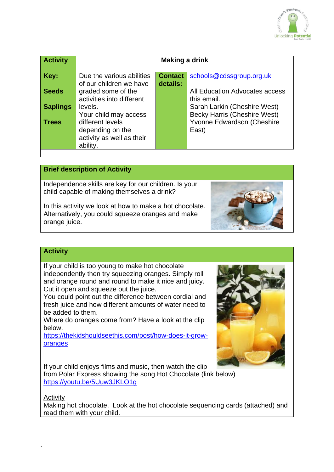

| <b>Activity</b> | Making a drink            |                |                                |
|-----------------|---------------------------|----------------|--------------------------------|
| Key:            | Due the various abilities | <b>Contact</b> | schools@cdssgroup.org.uk       |
|                 | of our children we have   | details:       |                                |
| <b>Seeds</b>    | graded some of the        |                | All Education Advocates access |
|                 | activities into different |                | this email.                    |
| <b>Saplings</b> | levels.                   |                | Sarah Larkin (Cheshire West)   |
|                 | Your child may access     |                | Becky Harris (Cheshire West)   |
| <b>Trees</b>    | different levels          |                | Yvonne Edwardson (Cheshire     |
|                 | depending on the          |                | East)                          |
|                 | activity as well as their |                |                                |
|                 | ability.                  |                |                                |
|                 |                           |                |                                |

# **Brief description of Activity**

Independence skills are key for our children. Is your child capable of making themselves a drink?

In this activity we look at how to make a hot chocolate. Alternatively, you could squeeze oranges and make orange juice.



## **Activity**

If your child is too young to make hot chocolate independently then try squeezing oranges. Simply roll and orange round and round to make it nice and juicy. Cut it open and squeeze out the juice.

You could point out the difference between cordial and fresh juice and how different amounts of water need to be added to them.

Where do oranges come from? Have a look at the clip below.

[https://thekidshouldseethis.com/post/how-does-it-grow](https://thekidshouldseethis.com/post/how-does-it-grow-oranges)[oranges](https://thekidshouldseethis.com/post/how-does-it-grow-oranges)

If your child enjoys films and music, then watch the clip

from Polar Express showing the song Hot Chocolate (link below) <https://youtu.be/5Uuw3JKLO1g>

#### **Activity**

`

Making hot chocolate. Look at the hot chocolate sequencing cards (attached) and read them with your child.